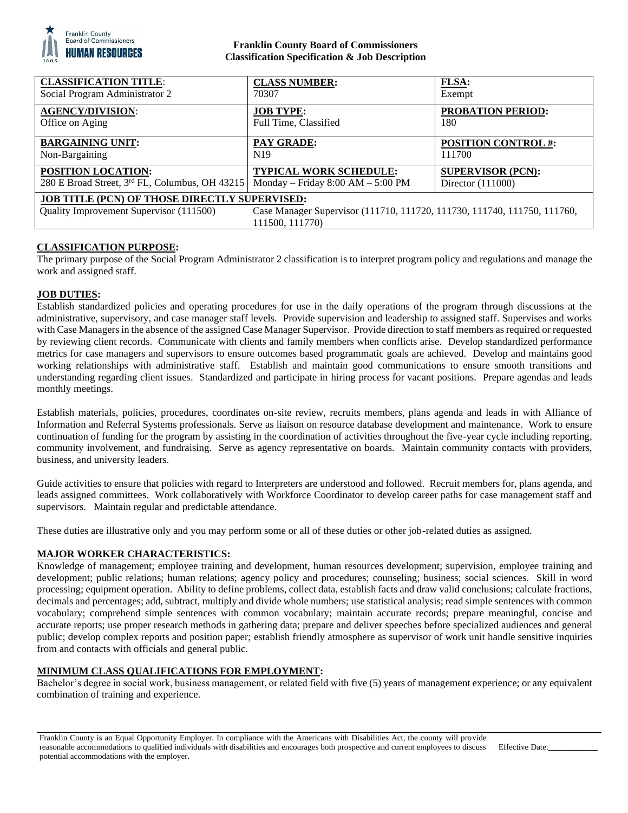

# **Franklin County Board of Commissioners Classification Specification & Job Description**

| <b>CLASSIFICATION TITLE:</b>                                                                                                                                                                   | <b>CLASS NUMBER:</b>                | <b>FLSA:</b>               |
|------------------------------------------------------------------------------------------------------------------------------------------------------------------------------------------------|-------------------------------------|----------------------------|
| Social Program Administrator 2                                                                                                                                                                 | 70307                               | Exempt                     |
| <b>AGENCY/DIVISION:</b>                                                                                                                                                                        | <b>JOB TYPE:</b>                    | <b>PROBATION PERIOD:</b>   |
| Office on Aging                                                                                                                                                                                | Full Time, Classified               | 180                        |
| <b>BARGAINING UNIT:</b>                                                                                                                                                                        | <b>PAY GRADE:</b>                   | <b>POSITION CONTROL #:</b> |
| Non-Bargaining                                                                                                                                                                                 | N <sub>19</sub>                     | 111700                     |
| <b>POSITION LOCATION:</b>                                                                                                                                                                      | <b>TYPICAL WORK SCHEDULE:</b>       | <b>SUPERVISOR (PCN):</b>   |
| 280 E Broad Street, 3rd FL, Columbus, OH 43215                                                                                                                                                 | Monday – Friday $8:00 AM - 5:00 PM$ | Director $(111000)$        |
| <b>JOB TITLE (PCN) OF THOSE DIRECTLY SUPERVISED:</b><br>Case Manager Supervisor (111710, 111720, 111730, 111740, 111750, 111760,<br>Quality Improvement Supervisor (111500)<br>111500, 111770) |                                     |                            |

## **CLASSIFICATION PURPOSE:**

The primary purpose of the Social Program Administrator 2 classification is to interpret program policy and regulations and manage the work and assigned staff.

## **JOB DUTIES:**

Establish standardized policies and operating procedures for use in the daily operations of the program through discussions at the administrative, supervisory, and case manager staff levels. Provide supervision and leadership to assigned staff. Supervises and works with Case Managers in the absence of the assigned Case Manager Supervisor. Provide direction to staff members as required or requested by reviewing client records. Communicate with clients and family members when conflicts arise. Develop standardized performance metrics for case managers and supervisors to ensure outcomes based programmatic goals are achieved. Develop and maintains good working relationships with administrative staff. Establish and maintain good communications to ensure smooth transitions and understanding regarding client issues. Standardized and participate in hiring process for vacant positions. Prepare agendas and leads monthly meetings.

Establish materials, policies, procedures, coordinates on-site review, recruits members, plans agenda and leads in with Alliance of Information and Referral Systems professionals. Serve as liaison on resource database development and maintenance. Work to ensure continuation of funding for the program by assisting in the coordination of activities throughout the five-year cycle including reporting, community involvement, and fundraising. Serve as agency representative on boards. Maintain community contacts with providers, business, and university leaders.

Guide activities to ensure that policies with regard to Interpreters are understood and followed. Recruit members for, plans agenda, and leads assigned committees. Work collaboratively with Workforce Coordinator to develop career paths for case management staff and supervisors. Maintain regular and predictable attendance.

These duties are illustrative only and you may perform some or all of these duties or other job-related duties as assigned.

## **MAJOR WORKER CHARACTERISTICS:**

Knowledge of management; employee training and development, human resources development; supervision, employee training and development; public relations; human relations; agency policy and procedures; counseling; business; social sciences. Skill in word processing; equipment operation. Ability to define problems, collect data, establish facts and draw valid conclusions; calculate fractions, decimals and percentages; add, subtract, multiply and divide whole numbers; use statistical analysis; read simple sentences with common vocabulary; comprehend simple sentences with common vocabulary; maintain accurate records; prepare meaningful, concise and accurate reports; use proper research methods in gathering data; prepare and deliver speeches before specialized audiences and general public; develop complex reports and position paper; establish friendly atmosphere as supervisor of work unit handle sensitive inquiries from and contacts with officials and general public.

## **MINIMUM CLASS QUALIFICATIONS FOR EMPLOYMENT:**

Bachelor's degree in social work, business management, or related field with five (5) years of management experience; or any equivalent combination of training and experience.

Effective Date: